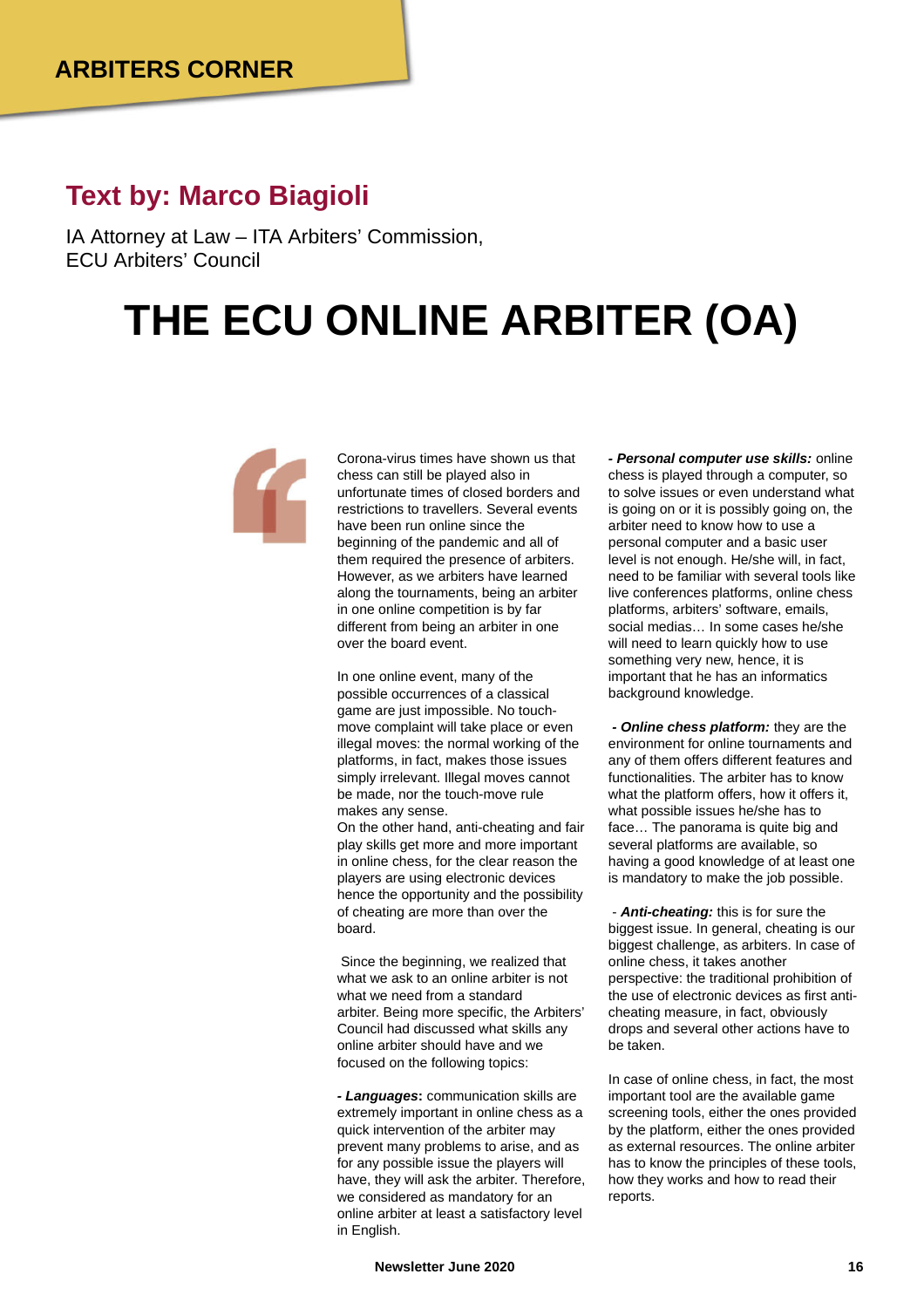## **Text by: Marco Biagioli**

IA Attorney at Law – ITA Arbiters' Commission, ECU Arbiters' Council

## **THE ECU ONLINE ARBITER (OA)**



Corona-virus times have shown us that chess can still be played also in unfortunate times of closed borders and restrictions to travellers. Several events have been run online since the beginning of the pandemic and all of them required the presence of arbiters. However, as we arbiters have learned along the tournaments, being an arbiter in one online competition is by far different from being an arbiter in one over the board event.

In one online event, many of the possible occurrences of a classical game are just impossible. No touchmove complaint will take place or even illegal moves: the normal working of the platforms, in fact, makes those issues simply irrelevant. Illegal moves cannot be made, nor the touch-move rule makes any sense.

On the other hand, anti-cheating and fair play skills get more and more important in online chess, for the clear reason the players are using electronic devices hence the opportunity and the possibility of cheating are more than over the board.

Since the beginning, we realized that what we ask to an online arbiter is not what we need from a standard arbiter. Being more specific, the Arbiters' Council had discussed what skills any online arbiter should have and we focused on the following topics:

*- Languages***:** communication skills are extremely important in online chess as a quick intervention of the arbiter may prevent many problems to arise, and as for any possible issue the players will have, they will ask the arbiter. Therefore, we considered as mandatory for an online arbiter at least a satisfactory level in English.

*- Personal computer use skills:* online chess is played through a computer, so to solve issues or even understand what is going on or it is possibly going on, the arbiter need to know how to use a personal computer and a basic user level is not enough. He/she will, in fact, need to be familiar with several tools like live conferences platforms, online chess platforms, arbiters' software, emails, social medias… In some cases he/she will need to learn quickly how to use something very new, hence, it is important that he has an informatics background knowledge.

*- Online chess platform:* they are the environment for online tournaments and any of them offers different features and functionalities. The arbiter has to know what the platform offers, how it offers it. what possible issues he/she has to face… The panorama is quite big and several platforms are available, so having a good knowledge of at least one is mandatory to make the job possible.

- *Anti-cheating:* this is for sure the biggest issue. In general, cheating is our biggest challenge, as arbiters. In case of online chess, it takes another perspective: the traditional prohibition of the use of electronic devices as first anticheating measure, in fact, obviously drops and several other actions have to be taken.

In case of online chess, in fact, the most important tool are the available game screening tools, either the ones provided by the platform, either the ones provided as external resources. The online arbiter has to know the principles of these tools, how they works and how to read their reports.